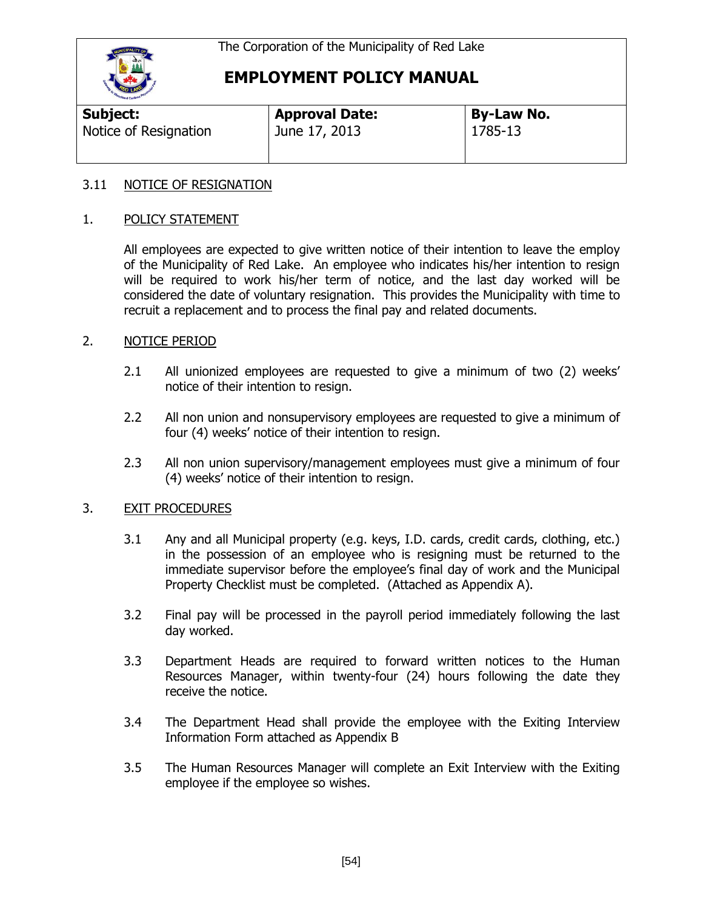

# **EMPLOYMENT POLICY MANUAL**

| <b>THE REAL PROPERTY AND INCOME.</b> |                       |                   |  |
|--------------------------------------|-----------------------|-------------------|--|
| <b>Subject:</b>                      | <b>Approval Date:</b> | <b>By-Law No.</b> |  |
| Notice of Resignation                | June 17, 2013         | 1785-13           |  |

#### 3.11 NOTICE OF RESIGNATION

#### 1. POLICY STATEMENT

All employees are expected to give written notice of their intention to leave the employ of the Municipality of Red Lake. An employee who indicates his/her intention to resign will be required to work his/her term of notice, and the last day worked will be considered the date of voluntary resignation. This provides the Municipality with time to recruit a replacement and to process the final pay and related documents.

#### 2. NOTICE PERIOD

- 2.1 All unionized employees are requested to give a minimum of two (2) weeks' notice of their intention to resign.
- 2.2 All non union and nonsupervisory employees are requested to give a minimum of four (4) weeks' notice of their intention to resign.
- 2.3 All non union supervisory/management employees must give a minimum of four (4) weeks' notice of their intention to resign.

#### 3. EXIT PROCEDURES

- 3.1 Any and all Municipal property (e.g. keys, I.D. cards, credit cards, clothing, etc.) in the possession of an employee who is resigning must be returned to the immediate supervisor before the employee's final day of work and the Municipal Property Checklist must be completed. (Attached as Appendix A).
- 3.2 Final pay will be processed in the payroll period immediately following the last day worked.
- 3.3 Department Heads are required to forward written notices to the Human Resources Manager, within twenty-four (24) hours following the date they receive the notice.
- 3.4 The Department Head shall provide the employee with the Exiting Interview Information Form attached as Appendix B
- 3.5 The Human Resources Manager will complete an Exit Interview with the Exiting employee if the employee so wishes.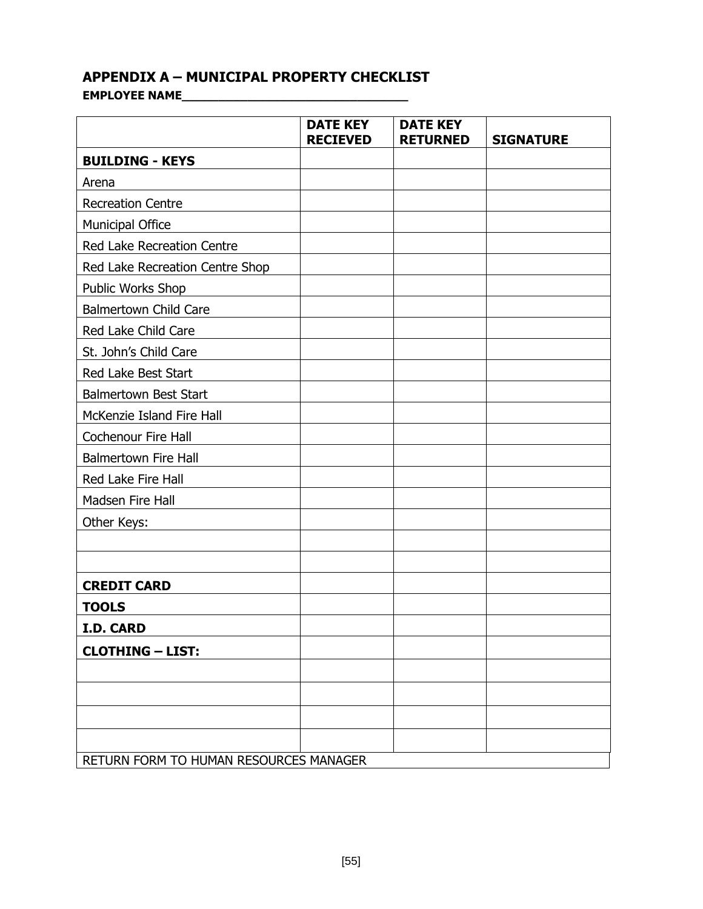### **APPENDIX A – MUNICIPAL PROPERTY CHECKLIST**

**EMPLOYEE NAME\_\_\_\_\_\_\_\_\_\_\_\_\_\_\_\_\_\_\_\_\_\_\_\_\_\_\_\_\_\_\_**

|                                        | <b>DATE KEY</b><br><b>RECIEVED</b> | <b>DATE KEY</b><br><b>RETURNED</b> | <b>SIGNATURE</b> |
|----------------------------------------|------------------------------------|------------------------------------|------------------|
| <b>BUILDING - KEYS</b>                 |                                    |                                    |                  |
| Arena                                  |                                    |                                    |                  |
| <b>Recreation Centre</b>               |                                    |                                    |                  |
| Municipal Office                       |                                    |                                    |                  |
| Red Lake Recreation Centre             |                                    |                                    |                  |
| Red Lake Recreation Centre Shop        |                                    |                                    |                  |
| Public Works Shop                      |                                    |                                    |                  |
| <b>Balmertown Child Care</b>           |                                    |                                    |                  |
| Red Lake Child Care                    |                                    |                                    |                  |
| St. John's Child Care                  |                                    |                                    |                  |
| Red Lake Best Start                    |                                    |                                    |                  |
| <b>Balmertown Best Start</b>           |                                    |                                    |                  |
| McKenzie Island Fire Hall              |                                    |                                    |                  |
| <b>Cochenour Fire Hall</b>             |                                    |                                    |                  |
| <b>Balmertown Fire Hall</b>            |                                    |                                    |                  |
| Red Lake Fire Hall                     |                                    |                                    |                  |
| Madsen Fire Hall                       |                                    |                                    |                  |
| Other Keys:                            |                                    |                                    |                  |
|                                        |                                    |                                    |                  |
|                                        |                                    |                                    |                  |
| <b>CREDIT CARD</b>                     |                                    |                                    |                  |
| <b>TOOLS</b>                           |                                    |                                    |                  |
| I.D. CARD                              |                                    |                                    |                  |
| <b>CLOTHING - LIST:</b>                |                                    |                                    |                  |
|                                        |                                    |                                    |                  |
|                                        |                                    |                                    |                  |
|                                        |                                    |                                    |                  |
|                                        |                                    |                                    |                  |
| RETURN FORM TO HUMAN RESOURCES MANAGER |                                    |                                    |                  |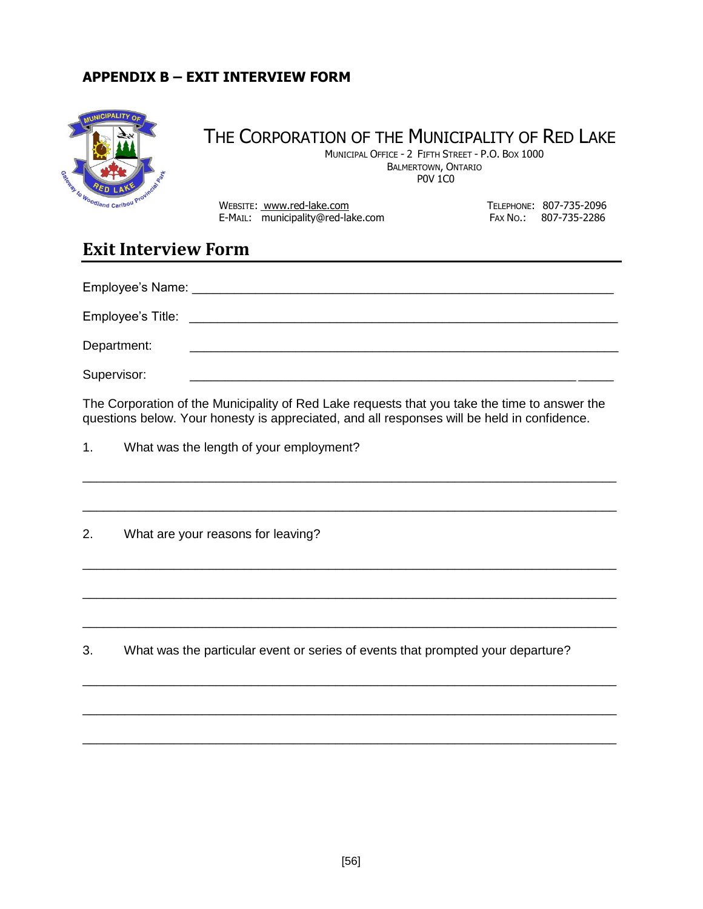#### **APPENDIX B – EXIT INTERVIEW FORM**



# THE CORPORATION OF THE MUNICIPALITY OF RED LAKE

 MUNICIPAL OFFICE - 2 FIFTH STREET - P.O. BOX 1000 BALMERTOWN, ONTARIO P0V 1C0

 $w_{o_{\text{o}_{\text{of}}}}$ <sub> $w_{o_{\text{of}}}$  and  $c_{\text{arib}}$ <sup> $\text{v}}$ </sub>  $\text{v}$ <sup>*w*</sup>  $\text{W}}$  WEBSITE: <u>www.red-lake.com</u>  $\text{W}}$  TELEPHONE: 807-735-2096</sub></sup> E-MAIL: municipality@red-lake.com FAX No.: 807-735-2286

# **Exit Interview Form**

| Employee's Name:  |  |
|-------------------|--|
| Employee's Title: |  |
| Department:       |  |
| Supervisor:       |  |

The Corporation of the Municipality of Red Lake requests that you take the time to answer the questions below. Your honesty is appreciated, and all responses will be held in confidence.

\_\_\_\_\_\_\_\_\_\_\_\_\_\_\_\_\_\_\_\_\_\_\_\_\_\_\_\_\_\_\_\_\_\_\_\_\_\_\_\_\_\_\_\_\_\_\_\_\_\_\_\_\_\_\_\_\_\_\_\_\_\_\_\_\_\_\_\_\_\_\_\_\_\_\_\_

\_\_\_\_\_\_\_\_\_\_\_\_\_\_\_\_\_\_\_\_\_\_\_\_\_\_\_\_\_\_\_\_\_\_\_\_\_\_\_\_\_\_\_\_\_\_\_\_\_\_\_\_\_\_\_\_\_\_\_\_\_\_\_\_\_\_\_\_\_\_\_\_\_\_\_\_

\_\_\_\_\_\_\_\_\_\_\_\_\_\_\_\_\_\_\_\_\_\_\_\_\_\_\_\_\_\_\_\_\_\_\_\_\_\_\_\_\_\_\_\_\_\_\_\_\_\_\_\_\_\_\_\_\_\_\_\_\_\_\_\_\_\_\_\_\_\_\_\_\_\_\_\_

\_\_\_\_\_\_\_\_\_\_\_\_\_\_\_\_\_\_\_\_\_\_\_\_\_\_\_\_\_\_\_\_\_\_\_\_\_\_\_\_\_\_\_\_\_\_\_\_\_\_\_\_\_\_\_\_\_\_\_\_\_\_\_\_\_\_\_\_\_\_\_\_\_\_\_\_

\_\_\_\_\_\_\_\_\_\_\_\_\_\_\_\_\_\_\_\_\_\_\_\_\_\_\_\_\_\_\_\_\_\_\_\_\_\_\_\_\_\_\_\_\_\_\_\_\_\_\_\_\_\_\_\_\_\_\_\_\_\_\_\_\_\_\_\_\_\_\_\_\_\_\_\_

\_\_\_\_\_\_\_\_\_\_\_\_\_\_\_\_\_\_\_\_\_\_\_\_\_\_\_\_\_\_\_\_\_\_\_\_\_\_\_\_\_\_\_\_\_\_\_\_\_\_\_\_\_\_\_\_\_\_\_\_\_\_\_\_\_\_\_\_\_\_\_\_\_\_\_\_

\_\_\_\_\_\_\_\_\_\_\_\_\_\_\_\_\_\_\_\_\_\_\_\_\_\_\_\_\_\_\_\_\_\_\_\_\_\_\_\_\_\_\_\_\_\_\_\_\_\_\_\_\_\_\_\_\_\_\_\_\_\_\_\_\_\_\_\_\_\_\_\_\_\_\_\_

\_\_\_\_\_\_\_\_\_\_\_\_\_\_\_\_\_\_\_\_\_\_\_\_\_\_\_\_\_\_\_\_\_\_\_\_\_\_\_\_\_\_\_\_\_\_\_\_\_\_\_\_\_\_\_\_\_\_\_\_\_\_\_\_\_\_\_\_\_\_\_\_\_\_\_\_

1. What was the length of your employment?

2. What are your reasons for leaving?

3. What was the particular event or series of events that prompted your departure?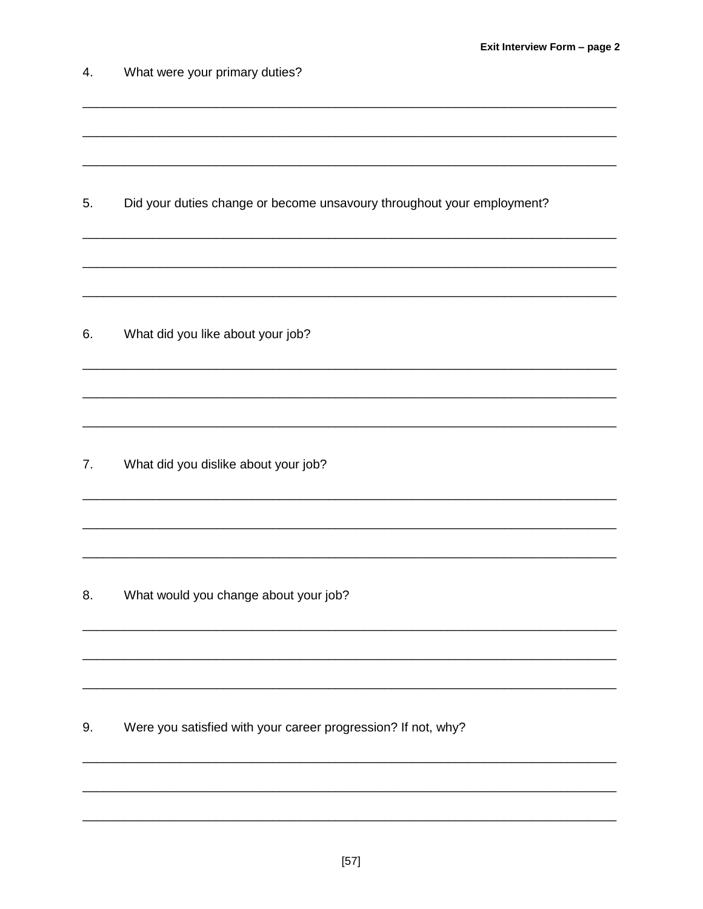| 4. | What were your primary duties?                                         |
|----|------------------------------------------------------------------------|
|    |                                                                        |
| 5. | Did your duties change or become unsavoury throughout your employment? |
|    |                                                                        |
| 6. | What did you like about your job?                                      |
|    |                                                                        |
| 7. | What did you dislike about your job?                                   |
|    |                                                                        |
| 8. | What would you change about your job?                                  |
|    |                                                                        |
| 9. | Were you satisfied with your career progression? If not, why?          |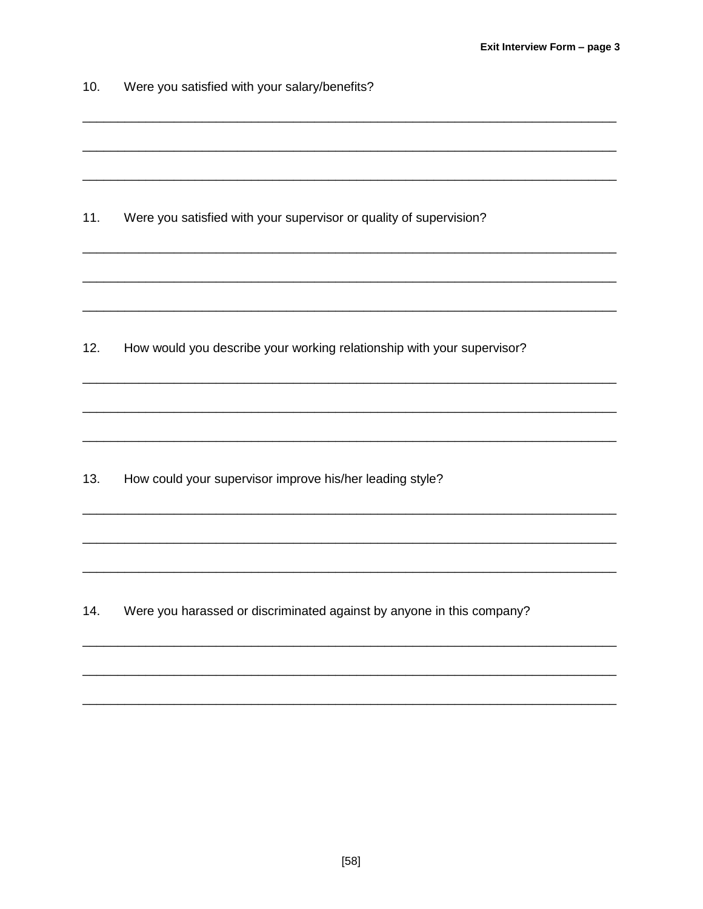| 10. | Were you satisfied with your salary/benefits?                          |  |  |
|-----|------------------------------------------------------------------------|--|--|
|     |                                                                        |  |  |
|     |                                                                        |  |  |
| 11. | Were you satisfied with your supervisor or quality of supervision?     |  |  |
|     |                                                                        |  |  |
|     |                                                                        |  |  |
| 12. | How would you describe your working relationship with your supervisor? |  |  |
|     |                                                                        |  |  |
|     |                                                                        |  |  |
| 13. | How could your supervisor improve his/her leading style?               |  |  |
|     |                                                                        |  |  |
|     |                                                                        |  |  |
| 14. | Were you harassed or discriminated against by anyone in this company?  |  |  |
|     |                                                                        |  |  |
|     |                                                                        |  |  |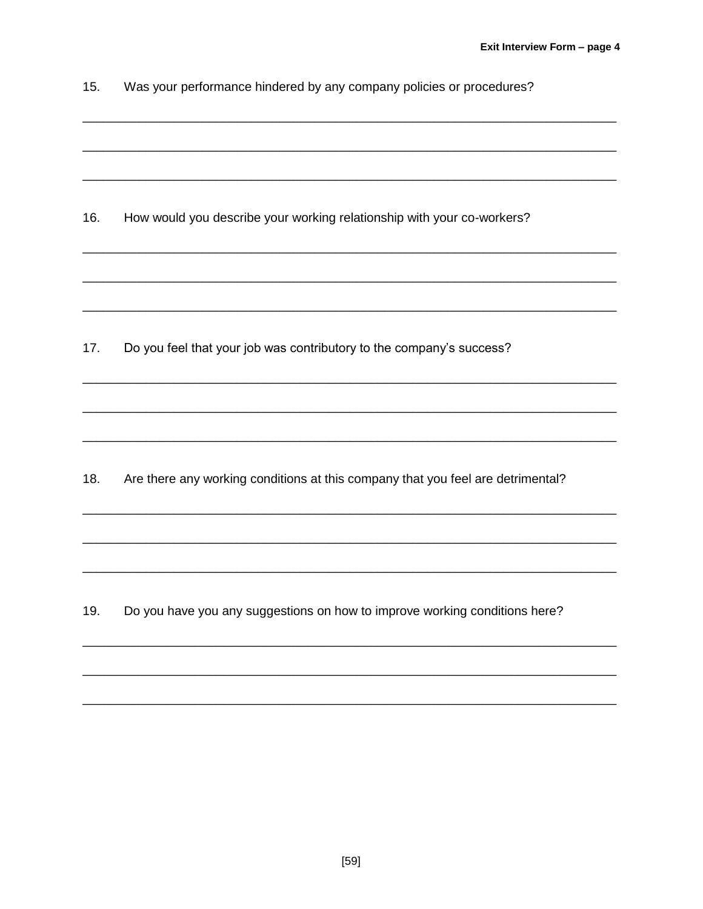| 15. |  | Was your performance hindered by any company policies or procedures? |  |
|-----|--|----------------------------------------------------------------------|--|
|-----|--|----------------------------------------------------------------------|--|

How would you describe your working relationship with your co-workers?  $16.$ 

 $17.$ Do you feel that your job was contributory to the company's success?

Are there any working conditions at this company that you feel are detrimental?  $18.$ 

19. Do you have you any suggestions on how to improve working conditions here?